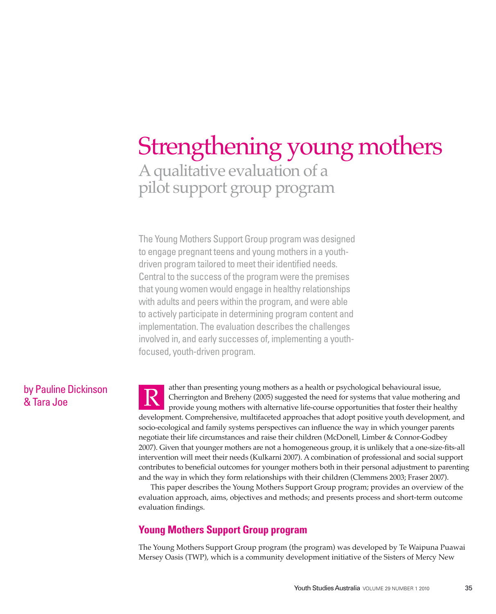# A qualitative evaluation of a pilot support group program Strengthening young mothers

The Young Mothers Support Group program was designed to engage pregnant teens and young mothers in a youthdriven program tailored to meet their identified needs. Central to the success of the program were the premises that young women would engage in healthy relationships with adults and peers within the program, and were able to actively participate in determining program content and implementation. The evaluation describes the challenges involved in, and early successes of, implementing a youthfocused, youth-driven program.

# by Pauline Dickinson & Tara Joe

ather than presenting young mothers as a health or psychological behavioural issue, Cherrington and Breheny (2005) suggested the need for systems that value mothering and provide young mothers with alternative life-course opportunities that foster their healthy development. Comprehensive, multifaceted approaches that adopt positive youth development, and socio-ecological and family systems perspectives can influence the way in which younger parents negotiate their life circumstances and raise their children (McDonell, Limber & Connor-Godbey 2007). Given that younger mothers are not a homogeneous group, it is unlikely that a one-size-fits-all intervention will meet their needs (Kulkarni 2007). A combination of professional and social support contributes to beneficial outcomes for younger mothers both in their personal adjustment to parenting and the way in which they form relationships with their children (Clemmens 2003; Fraser 2007). R

This paper describes the Young Mothers Support Group program; provides an overview of the evaluation approach, aims, objectives and methods; and presents process and short-term outcome evaluation findings.

# **Young Mothers Support Group program**

The Young Mothers Support Group program (the program) was developed by Te Waipuna Puawai Mersey Oasis (TWP), which is a community development initiative of the Sisters of Mercy New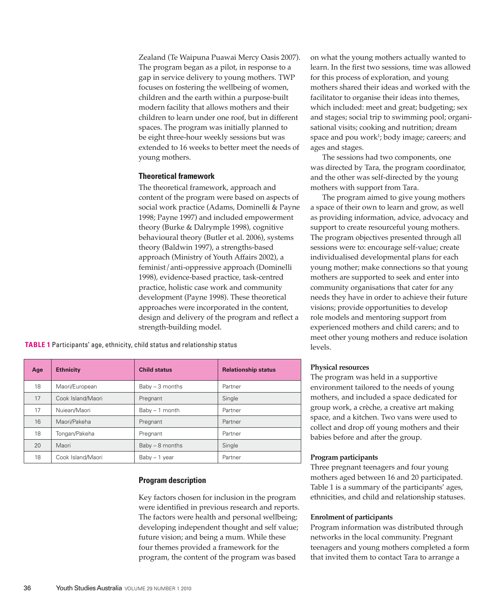Zealand (Te Waipuna Puawai Mercy Oasis 2007). The program began as a pilot, in response to a gap in service delivery to young mothers. TWP focuses on fostering the wellbeing of women, children and the earth within a purpose-built modern facility that allows mothers and their children to learn under one roof, but in different spaces. The program was initially planned to be eight three-hour weekly sessions but was extended to 16 weeks to better meet the needs of young mothers.

#### **Theoretical framework**

The theoretical framework, approach and content of the program were based on aspects of social work practice (Adams, Dominelli & Payne 1998; Payne 1997) and included empowerment theory (Burke & Dalrymple 1998), cognitive behavioural theory (Butler et al. 2006), systems theory (Baldwin 1997), a strengths-based approach (Ministry of Youth Affairs 2002), a feminist/anti-oppressive approach (Dominelli 1998), evidence-based practice, task-centred practice, holistic case work and community development (Payne 1998). These theoretical approaches were incorporated in the content, design and delivery of the program and reflect a strength-building model.

**TABLE 1** Participants' age, ethnicity, child status and relationship status

| Age | <b>Ethnicity</b>  | <b>Child status</b> | <b>Relationship status</b> |
|-----|-------------------|---------------------|----------------------------|
| 18  | Maori/European    | $Baby - 3 months$   | Partner                    |
| 17  | Cook Island/Maori | Pregnant            | Single                     |
| 17  | Nuiean/Maori      | $Baby - 1 month$    | Partner                    |
| 16  | Maori/Pakeha      | Pregnant            | Partner                    |
| 18  | Tongan/Pakeha     | Pregnant            | Partner                    |
| 20  | Maori             | Baby - 8 months     | Single                     |
| 18  | Cook Island/Maori | $B$ aby $-1$ year   | Partner                    |

### **Program description**

Key factors chosen for inclusion in the program were identified in previous research and reports. The factors were health and personal wellbeing; developing independent thought and self value; future vision; and being a mum. While these four themes provided a framework for the program, the content of the program was based

on what the young mothers actually wanted to learn. In the first two sessions, time was allowed for this process of exploration, and young mothers shared their ideas and worked with the facilitator to organise their ideas into themes, which included: meet and great; budgeting; sex and stages; social trip to swimming pool; organisational visits; cooking and nutrition; dream space and pou work<sup>1</sup>; body image; careers; and ages and stages.

The sessions had two components, one was directed by Tara, the program coordinator, and the other was self-directed by the young mothers with support from Tara.

The program aimed to give young mothers a space of their own to learn and grow, as well as providing information, advice, advocacy and support to create resourceful young mothers. The program objectives presented through all sessions were to: encourage self-value; create individualised developmental plans for each young mother; make connections so that young mothers are supported to seek and enter into community organisations that cater for any needs they have in order to achieve their future visions; provide opportunities to develop role models and mentoring support from experienced mothers and child carers; and to meet other young mothers and reduce isolation levels.

### **Physical resources**

The program was held in a supportive environment tailored to the needs of young mothers, and included a space dedicated for group work, a crèche, a creative art making space, and a kitchen. Two vans were used to collect and drop off young mothers and their babies before and after the group.

### **Program participants**

Three pregnant teenagers and four young mothers aged between 16 and 20 participated. Table 1 is a summary of the participants' ages, ethnicities, and child and relationship statuses.

#### **Enrolment of participants**

Program information was distributed through networks in the local community. Pregnant teenagers and young mothers completed a form that invited them to contact Tara to arrange a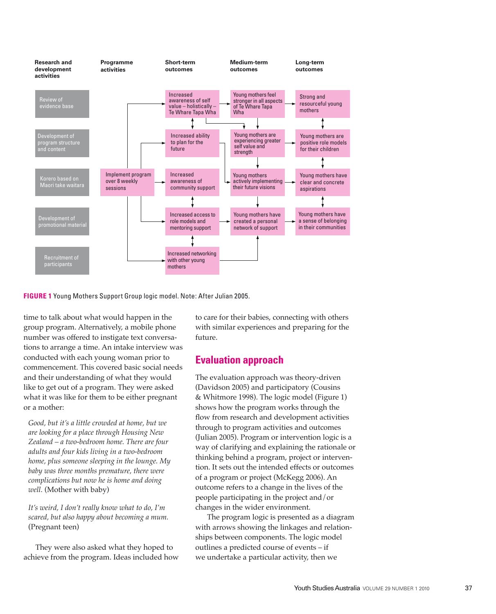

**FIGURE 1** Young Mothers Support Group logic model. Note: After Julian 2005.

time to talk about what would happen in the group program. Alternatively, a mobile phone number was offered to instigate text conversations to arrange a time. An intake interview was conducted with each young woman prior to commencement. This covered basic social needs and their understanding of what they would like to get out of a program. They were asked what it was like for them to be either pregnant or a mother:

*Good, but it's a little crowded at home, but we are looking for a place through Housing New Zealand – a two-bedroom home. There are four adults and four kids living in a two-bedroom home, plus someone sleeping in the lounge. My baby was three months premature, there were complications but now he is home and doing well.* (Mother with baby)

*It's weird, I don't really know what to do, I'm*  scared, but also happy about becoming a mum. (Pregnant teen)

They were also asked what they hoped to achieve from the program. Ideas included how to care for their babies, connecting with others with similar experiences and preparing for the future.

# **Evaluation approach**

The evaluation approach was theory-driven (Davidson 2005) and participatory (Cousins & Whitmore 1998). The logic model (Figure 1) shows how the program works through the flow from research and development activities through to program activities and outcomes (Julian 2005). Program or intervention logic is a way of clarifying and explaining the rationale or thinking behind a program, project or intervention. It sets out the intended effects or outcomes of a program or project (McKegg 2006). An outcome refers to a change in the lives of the people participating in the project and/or changes in the wider environment.

The program logic is presented as a diagram with arrows showing the linkages and relationships between components. The logic model outlines a predicted course of events – if we undertake a particular activity, then we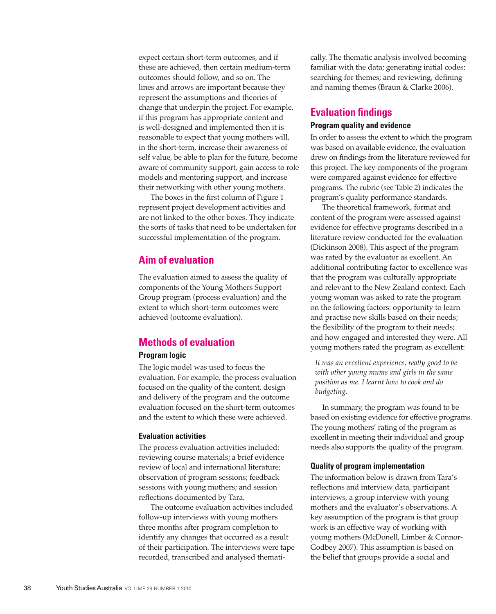expect certain short-term outcomes, and if these are achieved, then certain medium-term outcomes should follow, and so on. The lines and arrows are important because they represent the assumptions and theories of change that underpin the project. For example, if this program has appropriate content and is well-designed and implemented then it is reasonable to expect that young mothers will, in the short-term, increase their awareness of self value, be able to plan for the future, become aware of community support, gain access to role models and mentoring support, and increase their networking with other young mothers.

The boxes in the first column of Figure 1 represent project development activities and are not linked to the other boxes. They indicate the sorts of tasks that need to be undertaken for successful implementation of the program.

# **Aim of evaluation**

The evaluation aimed to assess the quality of components of the Young Mothers Support Group program (process evaluation) and the extent to which short-term outcomes were achieved (outcome evaluation).

# **Methods of evaluation**

# **Program logic**

The logic model was used to focus the evaluation. For example, the process evaluation focused on the quality of the content, design and delivery of the program and the outcome evaluation focused on the short-term outcomes and the extent to which these were achieved.

#### **Evaluation activities**

The process evaluation activities included: reviewing course materials; a brief evidence review of local and international literature; observation of program sessions; feedback sessions with young mothers; and session reflections documented by Tara.

The outcome evaluation activities included follow-up interviews with young mothers three months after program completion to identify any changes that occurred as a result of their participation. The interviews were tape recorded, transcribed and analysed thematically. The thematic analysis involved becoming familiar with the data; generating initial codes; searching for themes; and reviewing, defining and naming themes (Braun & Clarke 2006).

# **Evaluation findings**

# **Program quality and evidence**

In order to assess the extent to which the program was based on available evidence, the evaluation drew on findings from the literature reviewed for this project. The key components of the program were compared against evidence for effective programs. The rubric (see Table 2) indicates the program's quality performance standards.

The theoretical framework, format and content of the program were assessed against evidence for effective programs described in a literature review conducted for the evaluation (Dickinson 2008). This aspect of the program was rated by the evaluator as excellent. An additional contributing factor to excellence was that the program was culturally appropriate and relevant to the New Zealand context. Each young woman was asked to rate the program on the following factors: opportunity to learn and practise new skills based on their needs; the flexibility of the program to their needs; and how engaged and interested they were. All young mothers rated the program as excellent:

*It was an excellent experience, really good to be with other young mums and girls in the same position as me. I learnt how to cook and do budgeting.*

In summary, the program was found to be based on existing evidence for effective programs. The young mothers' rating of the program as excellent in meeting their individual and group needs also supports the quality of the program.

## **Quality of program implementation**

The information below is drawn from Tara's reflections and interview data, participant interviews, a group interview with young mothers and the evaluator's observations. A key assumption of the program is that group work is an effective way of working with young mothers (McDonell, Limber & Connor-Godbey 2007). This assumption is based on the belief that groups provide a social and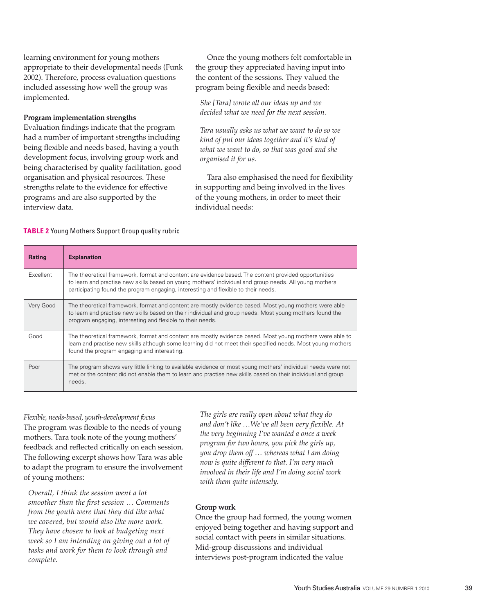learning environment for young mothers appropriate to their developmental needs (Funk 2002). Therefore, process evaluation questions included assessing how well the group was implemented.

# **Program implementation strengths**

Evaluation findings indicate that the program had a number of important strengths including being flexible and needs based, having a youth development focus, involving group work and being characterised by quality facilitation, good organisation and physical resources. These strengths relate to the evidence for effective programs and are also supported by the interview data.

Once the young mothers felt comfortable in the group they appreciated having input into the content of the sessions. They valued the program being flexible and needs based:

*She [Tara] wrote all our ideas up and we decided what we need for the next session.*

*Tara usually asks us what we want to do so we kind of put our ideas together and it's kind of what we want to do, so that was good and she organised it for us.*

Tara also emphasised the need for flexibility in supporting and being involved in the lives of the young mothers, in order to meet their individual needs:

## **TABLE 2** Young Mothers Support Group quality rubric

| <b>Rating</b> | <b>Explanation</b>                                                                                                                                                                                                                                                                                   |  |
|---------------|------------------------------------------------------------------------------------------------------------------------------------------------------------------------------------------------------------------------------------------------------------------------------------------------------|--|
| Excellent     | The theoretical framework, format and content are evidence based. The content provided opportunities<br>to learn and practise new skills based on young mothers' individual and group needs. All young mothers<br>participating found the program engaging, interesting and flexible to their needs. |  |
| Very Good     | The theoretical framework, format and content are mostly evidence based. Most young mothers were able<br>to learn and practise new skills based on their individual and group needs. Most young mothers found the<br>program engaging, interesting and flexible to their needs.                      |  |
| Good          | The theoretical framework, format and content are mostly evidence based. Most young mothers were able to<br>learn and practise new skills although some learning did not meet their specified needs. Most young mothers<br>found the program engaging and interesting.                               |  |
| Poor          | The program shows very little linking to available evidence or most young mothers' individual needs were not<br>met or the content did not enable them to learn and practise new skills based on their individual and group<br>needs.                                                                |  |

*Flexible, needs-based, youth-development focus* The program was flexible to the needs of young mothers. Tara took note of the young mothers' feedback and reflected critically on each session. The following excerpt shows how Tara was able to adapt the program to ensure the involvement of young mothers:

*Overall, I think the session went a lot smoother than the first session … Comments from the youth were that they did like what we covered, but would also like more work. They have chosen to look at budgeting next week so I am intending on giving out a lot of tasks and work for them to look through and complete.*

*The girls are really open about what they do and don't like …We've all been very flexible. At the very beginning I've wanted a once a week program for two hours, you pick the girls up, you drop them off … whereas what I am doing now is quite different to that. I'm very much involved in their life and I'm doing social work with them quite intensely.* 

# **Group work**

Once the group had formed, the young women enjoyed being together and having support and social contact with peers in similar situations. Mid-group discussions and individual interviews post-program indicated the value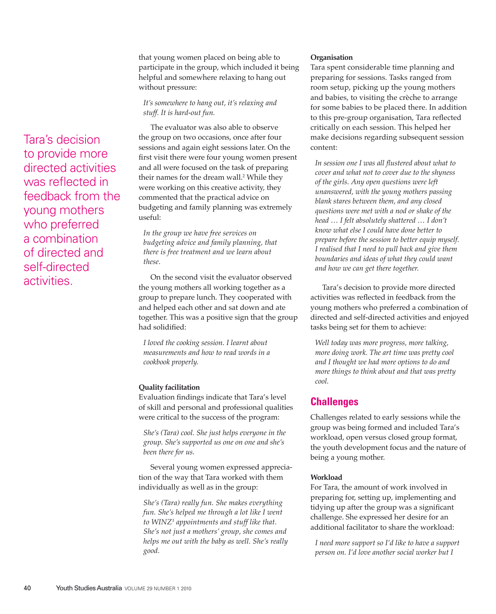that young women placed on being able to participate in the group, which included it being helpful and somewhere relaxing to hang out without pressure:

## *It's somewhere to hang out, it's relaxing and stuff. It is hard-out fun.*

The evaluator was also able to observe the group on two occasions, once after four sessions and again eight sessions later. On the first visit there were four young women present and all were focused on the task of preparing their names for the dream wall.<sup>2</sup> While they were working on this creative activity, they commented that the practical advice on budgeting and family planning was extremely useful:

*In the group we have free services on budgeting advice and family planning, that there is free treatment and we learn about these.* 

On the second visit the evaluator observed the young mothers all working together as a group to prepare lunch. They cooperated with and helped each other and sat down and ate together. This was a positive sign that the group had solidified:

*I loved the cooking session. I learnt about measurements and how to read words in a cookbook properly.*

## **Quality facilitation**

Evaluation findings indicate that Tara's level of skill and personal and professional qualities were critical to the success of the program:

*She's (Tara) cool. She just helps everyone in the group. She's supported us one on one and she's been there for us.* 

Several young women expressed appreciation of the way that Tara worked with them individually as well as in the group:

*She's (Tara) really fun. She makes everything fun. She's helped me through a lot like I went to WINZ3 appointments and stuff like that. She's not just a mothers' group, she comes and helps me out with the baby as well. She's really good.* 

## **Organisation**

Tara spent considerable time planning and preparing for sessions. Tasks ranged from room setup, picking up the young mothers and babies, to visiting the crèche to arrange for some babies to be placed there. In addition to this pre-group organisation, Tara reflected critically on each session. This helped her make decisions regarding subsequent session content:

*In session one I was all flustered about what to cover and what not to cover due to the shyness of the girls. Any open questions were left unanswered, with the young mothers passing blank stares between them, and any closed questions were met with a nod or shake of the head … I felt absolutely shattered … I don't know what else I could have done better to prepare before the session to better equip myself. I realised that I need to pull back and give them boundaries and ideas of what they could want and how we can get there together.* 

Tara's decision to provide more directed activities was reflected in feedback from the young mothers who preferred a combination of directed and self-directed activities and enjoyed tasks being set for them to achieve:

*Well today was more progress, more talking, more doing work. The art time was pretty cool and I thought we had more options to do and more things to think about and that was pretty cool.* 

# **Challenges**

Challenges related to early sessions while the group was being formed and included Tara's workload, open versus closed group format, the youth development focus and the nature of being a young mother.

## **Workload**

For Tara, the amount of work involved in preparing for, setting up, implementing and tidying up after the group was a significant challenge. She expressed her desire for an additional facilitator to share the workload:

*I need more support so I'd like to have a support person on. I'd love another social worker but I* 

Tara's decision to provide more directed activities was reflected in feedback from the young mothers who preferred a combination of directed and self-directed activities.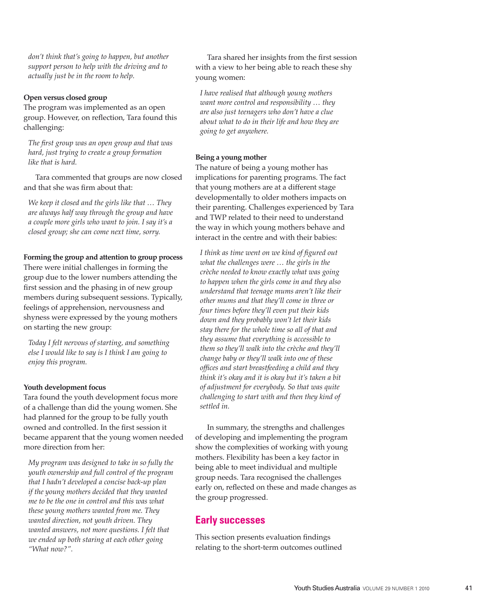*don't think that's going to happen, but another support person to help with the driving and to actually just be in the room to help.* 

## **Open versus closed group**

The program was implemented as an open group. However, on reflection, Tara found this challenging:

*The first group was an open group and that was hard, just trying to create a group formation like that is hard.* 

Tara commented that groups are now closed and that she was firm about that:

*We keep it closed and the girls like that … They are always half way through the group and have a couple more girls who want to join. I say it's a closed group; she can come next time, sorry.*

## **Forming the group and attention to group process**

There were initial challenges in forming the group due to the lower numbers attending the first session and the phasing in of new group members during subsequent sessions. Typically, feelings of apprehension, nervousness and shyness were expressed by the young mothers on starting the new group:

*Today I felt nervous of starting, and something else I would like to say is I think I am going to enjoy this program.* 

#### Youth development focus

Tara found the youth development focus more of a challenge than did the young women. She had planned for the group to be fully youth owned and controlled. In the first session it became apparent that the young women needed more direction from her:

*My program was designed to take in so fully the youth ownership and full control of the program that I hadn't developed a concise back-up plan if the young mothers decided that they wanted me to be the one in control and this was what these young mothers wanted from me. They wanted direction, not youth driven. They wanted answers, not more questions. I felt that we ended up both staring at each other going "What now?".*

Tara shared her insights from the first session with a view to her being able to reach these shy young women:

*I have realised that although young mothers want more control and responsibility … they are also just teenagers who don't have a clue about what to do in their life and how they are going to get anywhere.* 

#### **Being a young mother**

The nature of being a young mother has implications for parenting programs. The fact that young mothers are at a different stage developmentally to older mothers impacts on their parenting. Challenges experienced by Tara and TWP related to their need to understand the way in which young mothers behave and interact in the centre and with their babies:

*I think as time went on we kind of figured out what the challenges were … the girls in the crèche needed to know exactly what was going to happen when the girls come in and they also understand that teenage mums aren't like their other mums and that they'll come in three or four times before they'll even put their kids down and they probably won't let their kids stay there for the whole time so all of that and they assume that everything is accessible to them so they'll walk into the crèche and they'll change baby or they'll walk into one of these offices and start breastfeeding a child and they think it's okay and it is okay but it's taken a bit of adjustment for everybody. So that was quite challenging to start with and then they kind of settled in.* 

In summary, the strengths and challenges of developing and implementing the program show the complexities of working with young mothers. Flexibility has been a key factor in being able to meet individual and multiple group needs. Tara recognised the challenges early on, reflected on these and made changes as the group progressed.

# **Early successes**

This section presents evaluation findings relating to the short-term outcomes outlined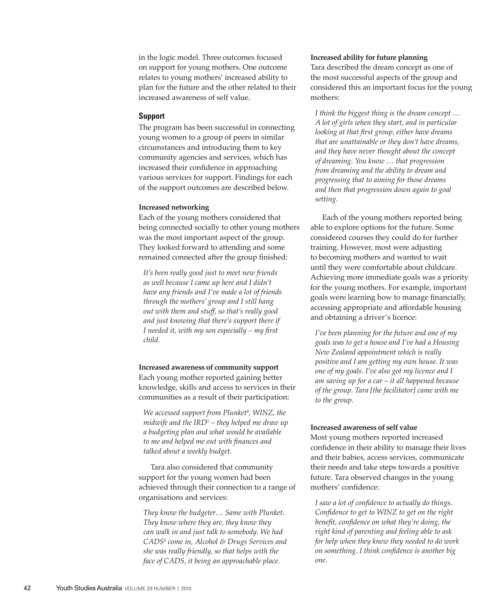in the logic model. Three outcomes focused on support for young mothers. One outcome relates to young mothers' increased ability to plan for the future and the other related to their increased awareness of self value.

## **Support**

The program has been successful in connecting young women to a group of peers in similar circumstances and introducing them to key community agencies and services, which has increased their confidence in approaching various services for support. Findings for each of the support outcomes are described below.

## **Increased networking**

Each of the young mothers considered that being connected socially to other young mothers was the most important aspect of the group. They looked forward to attending and some remained connected after the group finished:

*It's been really good just to meet new friends as well because I came up here and I didn't have any friends and I've made a lot of friends through the mothers' group and I still hang out with them and stuff, so that's really good and just knowing that there's support there if I needed it, with my son especially – my first child.*

# **Increased awareness of community support** Each young mother reported gaining better knowledge, skills and access to services in their communities as a result of their participation:

*We accessed support from Plunket4 , WINZ, the midwife and the IRD5 – they helped me draw up a budgeting plan and what would be available to me and helped me out with finances and talked about a weekly budget.* 

Tara also considered that community support for the young women had been achieved through their connection to a range of organisations and services:

*They know the budgeter… Same with Plunket. They know where they are, they know they can walk in and just talk to somebody. We had CADS6 come in, Alcohol & Drugs Services and she was really friendly, so that helps with the face of CADS, it being an approachable place.*

#### **Increased** ability for future planning

Tara described the dream concept as one of the most successful aspects of the group and considered this an important focus for the young mothers:

*I think the biggest thing is the dream concept … A lot of girls when they start, and in particular looking at that first group, either have dreams that are unattainable or they don't have dreams, and they have never thought about the concept of dreaming. You know … that progression from dreaming and the ability to dream and progressing that to aiming for those dreams and then that progression down again to goal setting.*

Each of the young mothers reported being able to explore options for the future. Some considered courses they could do for further training. However, most were adjusting to becoming mothers and wanted to wait until they were comfortable about childcare. Achieving more immediate goals was a priority for the young mothers. For example, important goals were learning how to manage financially, accessing appropriate and affordable housing and obtaining a driver's licence:

*I've been planning for the future and one of my goals was to get a house and I've had a Housing New Zealand appointment which is really positive and I am getting my own house. It was one of my goals. I've also got my licence and I am saving up for a car – it all happened because of the group. Tara [the facilitator] came with me to the group.* 

#### **Increased awareness of self value**

Most young mothers reported increased confidence in their ability to manage their lives and their babies, access services, communicate their needs and take steps towards a positive future. Tara observed changes in the young mothers' confidence:

*I saw a lot of confidence to actually do things. Confidence to get to WINZ to get on the right benefit, confidence on what they're doing, the right kind of parenting and feeling able to ask for help when they knew they needed to do work on something. I think confidence is another big one.*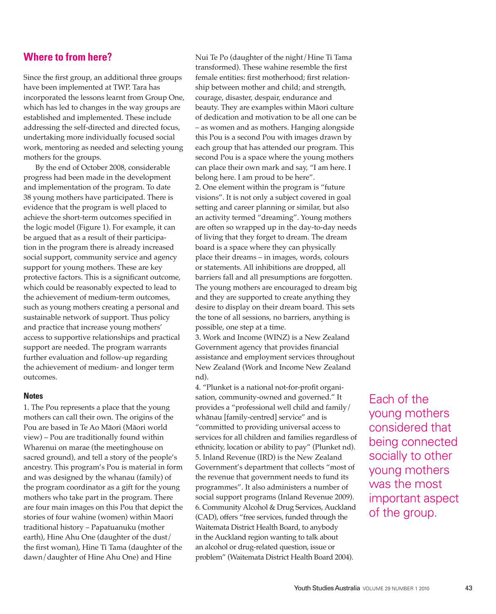# **Where to from here?**

Since the first group, an additional three groups have been implemented at TWP. Tara has incorporated the lessons learnt from Group One, which has led to changes in the way groups are established and implemented. These include addressing the self-directed and directed focus, undertaking more individually focused social work, mentoring as needed and selecting young mothers for the groups.

By the end of October 2008, considerable progress had been made in the development and implementation of the program. To date 38 young mothers have participated. There is evidence that the program is well placed to achieve the short-term outcomes specified in the logic model (Figure 1). For example, it can be argued that as a result of their participation in the program there is already increased social support, community service and agency support for young mothers. These are key protective factors. This is a significant outcome, which could be reasonably expected to lead to the achievement of medium-term outcomes, such as young mothers creating a personal and sustainable network of support. Thus policy and practice that increase young mothers' access to supportive relationships and practical support are needed. The program warrants further evaluation and follow-up regarding the achievement of medium- and longer term outcomes.

### **Notes**

1. The Pou represents a place that the young mothers can call their own. The origins of the Pou are based in Te Ao Māori (Māori world view) – Pou are traditionally found within Wharenui on marae (the meetinghouse on sacred ground), and tell a story of the people's ancestry. This program's Pou is material in form and was designed by the whanau (family) of the program coordinator as a gift for the young mothers who take part in the program. There are four main images on this Pou that depict the stories of four wahine (women) within Maori traditional history – Papatuanuku (mother earth), Hine Ahu One (daughter of the dust/ the first woman), Hine Ti Tama (daughter of the dawn/daughter of Hine Ahu One) and Hine

Nui Te Po (daughter of the night/Hine Ti Tama transformed). These wahine resemble the first female entities: first motherhood; first relationship between mother and child; and strength, courage, disaster, despair, endurance and beauty. They are examples within Māori culture of dedication and motivation to be all one can be – as women and as mothers. Hanging alongside this Pou is a second Pou with images drawn by each group that has attended our program. This second Pou is a space where the young mothers can place their own mark and say, "I am here. I belong here. I am proud to be here". 2. One element within the program is "future visions". It is not only a subject covered in goal setting and career planning or similar, but also an activity termed "dreaming". Young mothers are often so wrapped up in the day-to-day needs of living that they forget to dream. The dream board is a space where they can physically place their dreams – in images, words, colours or statements. All inhibitions are dropped, all barriers fall and all presumptions are forgotten. The young mothers are encouraged to dream big and they are supported to create anything they desire to display on their dream board. This sets the tone of all sessions, no barriers, anything is possible, one step at a time.

3. Work and Income (WINZ) is a New Zealand Government agency that provides financial assistance and employment services throughout New Zealand (Work and Income New Zealand nd).

4. "Plunket is a national not-for-profit organisation, community-owned and governed." It provides a "professional well child and family/ whānau [family-centred] service" and is "committed to providing universal access to services for all children and families regardless of ethnicity, location or ability to pay" (Plunket nd). 5. Inland Revenue (IRD) is the New Zealand Government's department that collects "most of the revenue that government needs to fund its programmes". It also administers a number of social support programs (Inland Revenue 2009). 6. Community Alcohol & Drug Services, Auckland (CAD), offers "free services, funded through the Waitemata District Health Board, to anybody in the Auckland region wanting to talk about an alcohol or drug-related question, issue or problem" (Waitemata District Health Board 2004).

Each of the young mothers considered that being connected socially to other young mothers was the most important aspect of the group.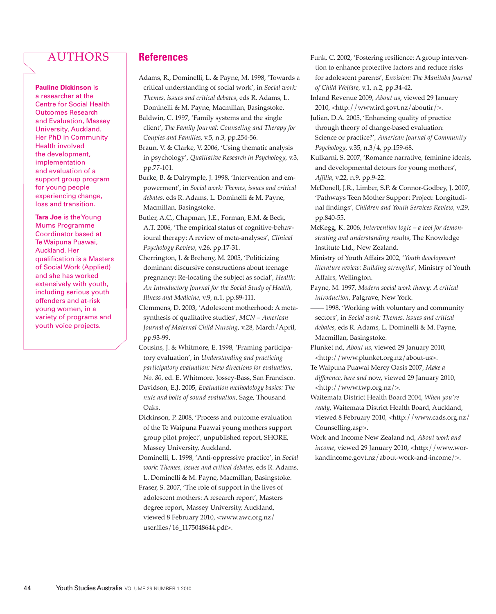# **AUTHORS**

**Pauline Dickinson** is a researcher at the Centre for Social Health Outcomes Research and Evaluation, Massey University, Auckland. Her PhD in Community Health involved the development, implementation and evaluation of a support group program for young people experiencing change, loss and transition.

**Tara Joe** is the Young Mums Programme Coordinator based at Te Waipuna Puawai, Auckland. Her qualification is a Masters of Social Work (Applied) and she has worked extensively with youth, including serious youth offenders and at-risk young women, in a variety of programs and youth voice projects.

# **References**

- Adams, R., Dominelli, L. & Payne, M. 1998, 'Towards a critical understanding of social work', in *Social work: Themes, issues and critical debates*, eds R. Adams, L. Dominelli & M. Payne, Macmillan, Basingstoke.
- Baldwin, C. 1997, 'Family systems and the single client', *The Family Journal: Counseling and Therapy for Couples and Families*, v.5, n.3, pp.254-56.
- Braun, V. & Clarke, V. 2006, 'Using thematic analysis in psychology', *Qualitative Research in Psychology*, v.3, pp.77-101.
- Burke, B. & Dalrymple, J. 1998, 'Intervention and empowerment', in *Social work: Themes, issues and critical debates*, eds R. Adams, L. Dominelli & M. Payne, Macmillan, Basingstoke.
- Butler, A.C., Chapman, J.E., Forman, E.M. & Beck, A.T. 2006, 'The empirical status of cognitive-behavioural therapy: A review of meta-analyses', *Clinical Psychology Review*, v.26, pp.17-31.
- Cherrington, J. & Breheny, M. 2005, 'Politicizing dominant discursive constructions about teenage pregnancy: Re-locating the subject as social', *Health: An Introductory Journal for the Social Study of Health, Illness and Medicine*, v.9, n.1, pp.89-111.
- Clemmens, D. 2003, 'Adolescent motherhood: A metasynthesis of qualitative studies', *MCN – American Journal of Maternal Child Nursing*, v.28, March/April, pp.93-99.
- Cousins, J. & Whitmore, E. 1998, 'Framing participatory evaluation', in *Understanding and practicing participatory evaluation: New directions for evaluation, No. 80,* ed. E. Whitmore, Jossey-Bass, San Francisco. Davidson, E.J. 2005, *Evaluation methodology basics: The*
- *nuts and bolts of sound evaluation*, Sage, Thousand Oaks.
- Dickinson, P. 2008, 'Process and outcome evaluation of the Te Waipuna Puawai young mothers support group pilot project'*,* unpublished report, SHORE, Massey University, Auckland.
- Dominelli, L. 1998, 'Anti-oppressive practice', in *Social work: Themes, issues and critical debates*, eds R. Adams,
- L. Dominelli & M. Payne, Macmillan, Basingstoke. Fraser, S. 2007, 'The role of support in the lives of adolescent mothers: A research report', Masters degree report, Massey University, Auckland, viewed 8 February 2010, <www.awc.org.nz/ userfiles/16\_1175048644.pdf>.
- Funk, C. 2002, 'Fostering resilience: A group intervention to enhance protective factors and reduce risks for adolescent parents', *Envision: The Manitoba Journal of Child Welfare*, v.1, n.2, pp.34-42.
- Inland Revenue 2009, *About us*, viewed 29 January 2010, <http://www.ird.govt.nz/aboutir/>.

Julian, D.A. 2005, 'Enhancing quality of practice through theory of change-based evaluation: Science or practice?', *American Journal of Community Psychology*, v.35, n.3/4, pp.159-68.

- Kulkarni, S. 2007, 'Romance narrative, feminine ideals, and developmental detours for young mothers', *Affilia*, v.22, n.9, pp.9-22.
- McDonell, J.R., Limber, S.P. & Connor-Godbey, J. 2007, 'Pathways Teen Mother Support Project: Longitudinal findings', *Children and Youth Services Review*, v.29, pp.840-55.
- McKegg, K. 2006, *Intervention logic a tool for demonstrating and understanding results,* The Knowledge Institute Ltd., New Zealand.
- Ministry of Youth Affairs 2002, '*Youth development literature review: Building strengths*', Ministry of Youth Affairs, Wellington.
- Payne, M. 1997, *Modern social work theory: A critical introduction*, Palgrave, New York.
- 1998, 'Working with voluntary and community sectors', in *Social work: Themes, issues and critical debates*, eds R. Adams, L. Dominelli & M. Payne, Macmillan, Basingstoke.
- Plunket nd, *About us*, viewed 29 January 2010, <http://www.plunket.org.nz/about-us>.
- Te Waipuna Puawai Mercy Oasis 2007, *Make a difference, here and* now, viewed 29 January 2010, <http://www.twp.org.nz/>.
- Waitemata District Health Board 2004, *When you're ready*, Waitemata District Health Board, Auckland, viewed 8 February 2010, <http://www.cads.org.nz/ Counselling.asp>.
- Work and Income New Zealand nd, *About work and income*, viewed 29 January 2010, <http://www.workandincome.govt.nz/about-work-and-income/>.